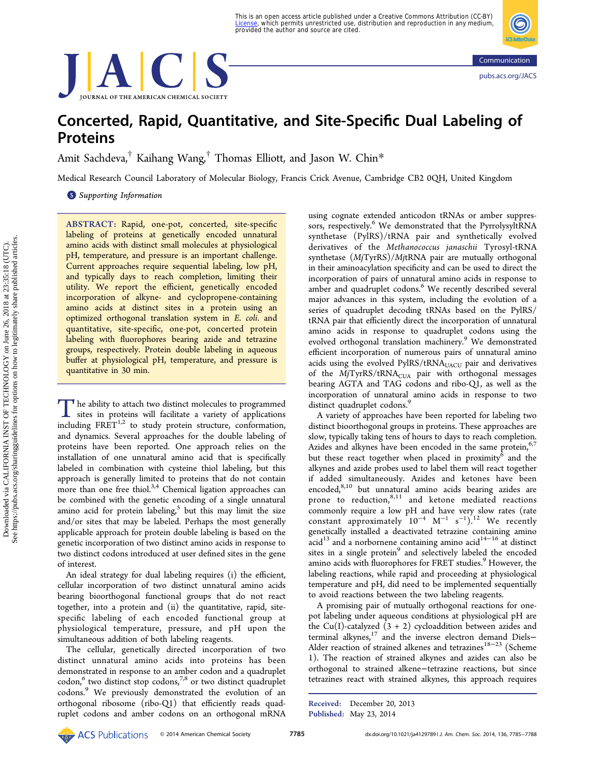This is an open access article published under a Creative Commons Attribution (CC-BY)<br><u>[License](http://pubs.acs.org/page/policy/authorchoice_ccby_termsofuse.html)</u>, which permits unrestricted use, distribution and reproduction in any medium, provided the author and source are cited.





# Concerted, Rapid, Quantitative, and Site-Specific Dual Labeling of Proteins

Amit Sachdeva,[†](#page-2-0) Kaihang Wang,[†](#page-2-0) Thomas Elliott, and Jason W. Chin[\\*](#page-2-0)

Medical Research Council Laboratory of Molecular Biology, Francis Crick Avenue, Cambridge CB2 0QH, United Kingdom

**S** [Supporting Information](#page-2-0)

ABSTRACT: Rapid, one-pot, concerted, site-specific labeling of proteins at genetically encoded unnatural amino acids with distinct small molecules at physiological pH, temperature, and pressure is an important challenge. Current approaches require sequential labeling, low pH, and typically days to reach completion, limiting their utility. We report the efficient, genetically encoded incorporation of alkyne- and cyclopropene-containing amino acids at distinct sites in a protein using an optimized orthogonal translation system in E. coli. and quantitative, site-specific, one-pot, concerted protein labeling with fluorophores bearing azide and tetrazine groups, respectively. Protein double labeling in aqueous buffer at physiological pH, temperature, and pressure is quantitative in 30 min.

The ability to attach two distinct molecules to programmed sites in proteins will facilitate a variety of applications including  $FRET^{1,2}$  to study protein structure, conformation, and dynamics. Several approaches for the double labeling of proteins have been reported. One approach relies on the installation of one unnatural amino acid that is specifically labeled in combination with cysteine thiol labeling, but this approach is generally limited to proteins that do not contain more than one free thiol. $3,4$  $3,4$  $3,4$  Chemical ligation approaches can be combined with the genetic encoding of a single unnatural amino acid for protein labeling, $5$  but this may limit the size and/or sites that may be labeled. Perhaps the most generally applicable approach for protein double labeling is based on the genetic incorporation of two distinct amino acids in response to two distinct codons introduced at user defined sites in the gene of interest.

An ideal strategy for dual labeling requires (i) the efficient, cellular incorporation of two distinct unnatural amino acids bearing bioorthogonal functional groups that do not react together, into a protein and (ii) the quantitative, rapid, sitespecific labeling of each encoded functional group at physiological temperature, pressure, and pH upon the simultaneous addition of both labeling reagents.

The cellular, genetically directed incorporation of two distinct unnatural amino acids into proteins has been demonstrated in response to an amber codon and a quadruplet  $codon, 6$  $codon, 6$  two distinct stop codons,<sup>[7](#page-3-0),[8](#page-3-0)</sup> or two distinct quadruplet codons.[9](#page-3-0) We previously demonstrated the evolution of an orthogonal ribosome (ribo-Q1) that efficiently reads quadruplet codons and amber codons on an orthogonal mRNA

using cognate extended anticodon tRNAs or amber suppres-sors, respectively.<sup>[6](#page-3-0)</sup> We demonstrated that the PyrrolysyltRNA synthetase (PylRS)/tRNA pair and synthetically evolved derivatives of the Methanococcus janaschii Tyrosyl-tRNA synthetase (MjTyrRS)/MjtRNA pair are mutually orthogonal in their aminoacylation specificity and can be used to direct the incorporation of pairs of unnatural amino acids in response to amber and quadruplet codons.<sup>[6](#page-3-0)</sup> We recently described several major advances in this system, including the evolution of a series of quadruplet decoding tRNAs based on the PylRS/ tRNA pair that efficiently direct the incorporation of unnatural amino acids in response to quadruplet codons using the evolved orthogonal translation machinery.<sup>[9](#page-3-0)</sup> We demonstrated efficient incorporation of numerous pairs of unnatural amino acids using the evolved PylRS/tRNA<sub>UACU</sub> pair and derivatives of the  $MjTyrRS/tRNA<sub>CUA</sub>$  pair with orthogonal messages bearing AGTA and TAG codons and ribo-Q1, as well as the incorporation of unnatural amino acids in response to two distinct quadruplet codons.<sup>[9](#page-3-0)</sup>

A variety of approaches have been reported for labeling two distinct bioorthogonal groups in proteins. These approaches are slow, typically taking tens of hours to days to reach completion. Azides and alkynes have been encoded in the same protein, $6/7$  $6/7$  $6/7$ but these react together when placed in proximity<sup>[6](#page-3-0)</sup> and the alkynes and azide probes used to label them will react together if added simultaneously. Azides and ketones have been encoded,<sup>[8,10](#page-3-0)</sup> but unnatural amino acids bearing azides are prone to reduction, $8,11$  and ketone mediated reactions commonly require a low pH and have very slow rates (rate constant approximately  $10^{-4}$  M<sup>-1</sup> s<sup>-1</sup>).<sup>[12](#page-3-0)</sup> We recently genetically installed a deactivated tetrazine containing amino acid<sup>[13](#page-3-0)</sup> and a norbornene containing amino acid<sup>[14](#page-3-0)−[16](#page-3-0)</sup> at distinct sites in a single protein<sup>[9](#page-3-0)</sup> and selectively labeled the encoded amino acids with fluorophores for FRET studies.<sup>[9](#page-3-0)</sup> However, the labeling reactions, while rapid and proceeding at physiological temperature and pH, did need to be implemented sequentially to avoid reactions between the two labeling reagents.

A promising pair of mutually orthogonal reactions for onepot labeling under aqueous conditions at physiological pH are the Cu(I)-catalyzed  $(3 + 2)$  cycloaddition between azides and terminal alkynes,<sup>17</sup> and the inverse electron demand Diels− Alder reaction of strained alkenes and tetrazines<sup>[18](#page-3-0)−[23](#page-3-0)</sup> (Scheme [1](#page-1-0)). The reaction of strained alkynes and azides can also be orthogonal to strained alkene−tetrazine reactions, but since tetrazines react with strained alkynes, this approach requires

Received: December 20, 2013 Published: May 23, 2014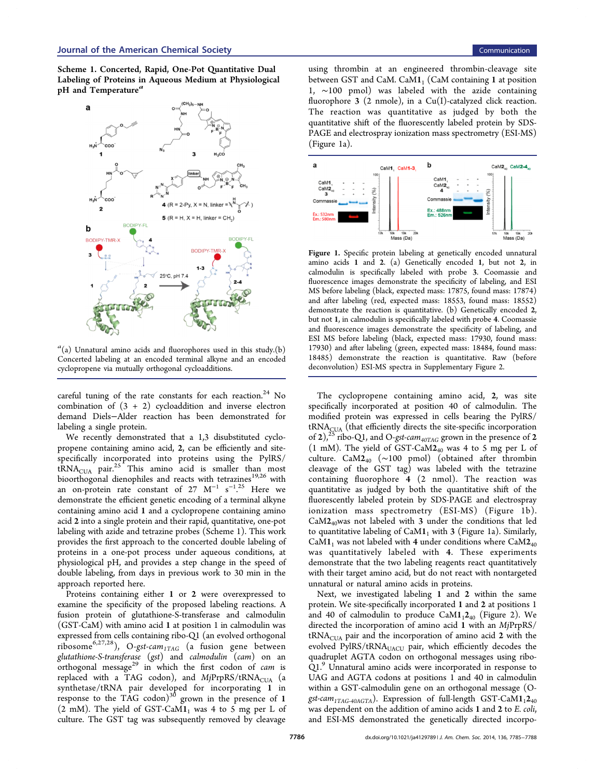<span id="page-1-0"></span>Scheme 1. Concerted, Rapid, One-Pot Quantitative Dual Labeling of Proteins in Aqueous Medium at Physiological pH and Temperature<sup>a</sup>



 $a<sup>a</sup>(a)$  Unnatural amino acids and fluorophores used in this study.(b) Concerted labeling at an encoded terminal alkyne and an encoded cyclopropene via mutually orthogonal cycloadditions.

careful tuning of the rate constants for each reaction.<sup>[24](#page-3-0)</sup> No combination of  $(3 + 2)$  cycloaddition and inverse electron demand Diels−Alder reaction has been demonstrated for labeling a single protein.

We recently demonstrated that a 1,3 disubstituted cyclopropene containing amino acid, 2, can be efficiently and sitespecifically incorporated into proteins using the PylRS/  $\text{tRNA}_{\text{CUA}}$  pair.<sup>[25](#page-3-0)</sup> This amino acid is smaller than most bioorthogonal dienophiles and reacts with tetrazines<sup>[19,26](#page-3-0)</sup> with an on-protein rate constant of 27  $M^{-1}$  s<sup>-1,[25](#page-3-0)</sup> Here we . demonstrate the efficient genetic encoding of a terminal alkyne containing amino acid 1 and a cyclopropene containing amino acid 2 into a single protein and their rapid, quantitative, one-pot labeling with azide and tetrazine probes (Scheme 1). This work provides the first approach to the concerted double labeling of proteins in a one-pot process under aqueous conditions, at physiological pH, and provides a step change in the speed of double labeling, from days in previous work to 30 min in the approach reported here.

Proteins containing either 1 or 2 were overexpressed to examine the specificity of the proposed labeling reactions. A fusion protein of glutathione-S-transferase and calmodulin (GST-CaM) with amino acid 1 at position 1 in calmodulin was expressed from cells containing ribo-Q1 (an evolved orthogonal ribosome<sup>[6](#page-3-0),[27](#page-3-0),28</sup>), O-gst-cam<sub>1TAG</sub> (a fusion gene between glutathione-S-transferase (gst) and calmodulin (cam) on an orthogonal message<sup>[29](#page-3-0)</sup> in which the first codon of cam is replaced with a TAG codon), and  $MjPrpRS/tRNA<sub>CUA</sub>$  (a synthetase/tRNA pair developed for incorporating 1 in response to the TAG codon) $30$  grown in the presence of 1  $(2 \text{ mM})$ . The yield of GST-CaM1<sub>1</sub> was 4 to 5 mg per L of culture. The GST tag was subsequently removed by cleavage

using thrombin at an engineered thrombin-cleavage site between GST and CaM. CaM $1_1$  (CaM containing 1 at position 1, ∼100 pmol) was labeled with the azide containing fluorophore 3 (2 nmole), in a Cu(I)-catalyzed click reaction. The reaction was quantitative as judged by both the quantitative shift of the fluorescently labeled protein by SDS-PAGE and electrospray ionization mass spectrometry (ESI-MS) (Figure 1a).



Figure 1. Specific protein labeling at genetically encoded unnatural amino acids 1 and 2. (a) Genetically encoded 1, but not 2, in calmodulin is specifically labeled with probe 3. Coomassie and fluorescence images demonstrate the specificity of labeling, and ESI MS before labeling (black, expected mass: 17875, found mass: 17874) and after labeling (red, expected mass: 18553, found mass: 18552) demonstrate the reaction is quantitative. (b) Genetically encoded 2, but not 1, in calmodulin is specifically labeled with probe 4. Coomassie and fluorescence images demonstrate the specificity of labeling, and ESI MS before labeling (black, expected mass: 17930, found mass: 17930) and after labeling (green, expected mass: 18484, found mass: 18485) demonstrate the reaction is quantitative. Raw (before deconvolution) ESI-MS spectra in [Supplementary Figure 2.](#page-2-0)

The cyclopropene containing amino acid, 2, was site specifically incorporated at position 40 of calmodulin. The modified protein was expressed in cells bearing the PylRS/ tRNA<sub>CUA</sub> (that efficiently directs the site-specific incorporation of 2),<sup>[25](#page-3-0)</sup> ribo-Q1, and O-*gst-cam<sub>40TAG</sub>* grown in the presence of 2 (1 mM). The yield of GST-CaM $2_{40}$  was 4 to 5 mg per L of culture. CaM2<sup>40</sup> (∼100 pmol) (obtained after thrombin cleavage of the GST tag) was labeled with the tetrazine containing fluorophore 4 (2 nmol). The reaction was quantitative as judged by both the quantitative shift of the fluorescently labeled protein by SDS-PAGE and electrospray ionization mass spectrometry (ESI-MS) (Figure 1b).  $CaM2<sub>40</sub>$ was not labeled with 3 under the conditions that led to quantitative labeling of  $CaM1<sub>1</sub>$  with 3 (Figure 1a). Similarly, CaM1<sub>1</sub> was not labeled with 4 under conditions where  $CaM2<sub>40</sub>$ was quantitatively labeled with 4. These experiments demonstrate that the two labeling reagents react quantitatively with their target amino acid, but do not react with nontargeted unnatural or natural amino acids in proteins.

Next, we investigated labeling 1 and 2 within the same protein. We site-specifically incorporated 1 and 2 at positions 1 and 40 of calmodulin to produce  $CaM1_12_{40}$  (Figure [2](#page-2-0)). We directed the incorporation of amino acid 1 with an MjPrpRS/  $tRNA<sub>CUA</sub>$  pair and the incorporation of amino acid 2 with the evolved PylRS/tRNA<sub>UACU</sub> pair, which efficiently decodes the quadruplet AGTA codon on orthogonal messages using ribo-Q1.<sup>[9](#page-3-0)</sup> Unnatural amino acids were incorporated in response to UAG and AGTA codons at positions 1 and 40 in calmodulin within a GST-calmodulin gene on an orthogonal message (Ogst-cam<sub>1TAG-40AGTA</sub>). Expression of full-length GST-CaM1<sub>1</sub>2<sub>40</sub> was dependent on the addition of amino acids 1 and 2 to E. coli, and ESI-MS demonstrated the genetically directed incorpo-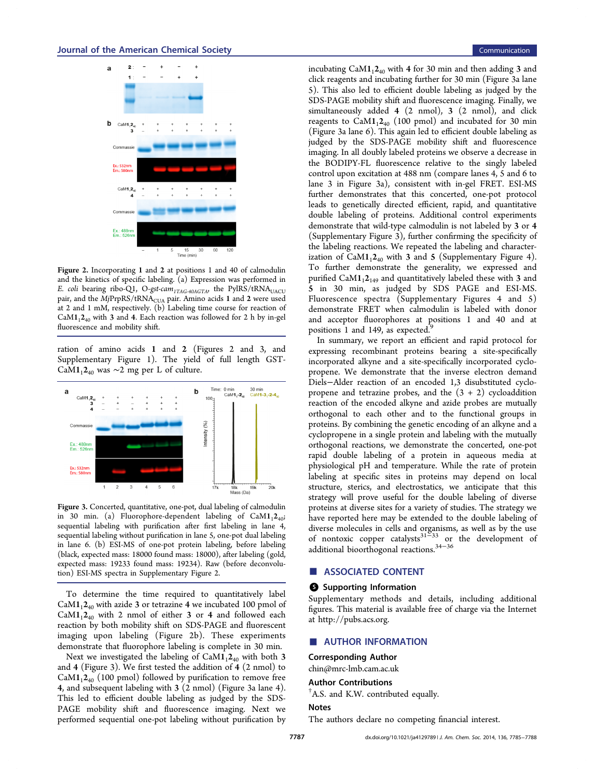<span id="page-2-0"></span>

Figure 2. Incorporating 1 and 2 at positions 1 and 40 of calmodulin and the kinetics of specific labeling. (a) Expression was performed in E. coli bearing ribo-Q1, O-gst-cam<sub>1TAG-40AGTA</sub>, the PylRS/tRNA<sub>UACU</sub> pair, and the  $\overline{M}$ jPrpRS/tRNA<sub>CUA</sub> pair. Amino acids 1 and 2 were used at 2 and 1 mM, respectively. (b) Labeling time course for reaction of  $CaM1<sub>1</sub>2<sub>40</sub>$  with 3 and 4. Each reaction was followed for 2 h by in-gel fluorescence and mobility shift.

ration of amino acids 1 and 2 (Figures 2 and 3, and Supplementary Figure 1). The yield of full length GST-CaM1<sub>1</sub>2<sub>40</sub> was ∼2 mg per L of culture.



Figure 3. Concerted, quantitative, one-pot, dual labeling of calmodulin in 30 min. (a) Fluorophore-dependent labeling of  $CaM1<sub>1</sub>2<sub>40</sub>$ ; sequential labeling with purification after first labeling in lane 4, sequential labeling without purification in lane 5, one-pot dual labeling in lane 6. (b) ESI-MS of one-pot protein labeling, before labeling (black, expected mass: 18000 found mass: 18000), after labeling (gold, expected mass: 19233 found mass: 19234). Raw (before deconvolution) ESI-MS spectra in Supplementary Figure 2.

To determine the time required to quantitatively label  $CaM1_12_{40}$  with azide 3 or tetrazine 4 we incubated 100 pmol of  $CaM1<sub>1</sub>2<sub>40</sub>$  with 2 nmol of either 3 or 4 and followed each reaction by both mobility shift on SDS-PAGE and fluorescent imaging upon labeling (Figure 2b). These experiments demonstrate that fluorophore labeling is complete in 30 min.

Next we investigated the labeling of  $CaM1_12_{40}$  with both 3 and 4 (Figure 3). We first tested the addition of 4 (2 nmol) to  $CaM1_12_{40}$  (100 pmol) followed by purification to remove free 4, and subsequent labeling with 3 (2 nmol) (Figure 3a lane 4). This led to efficient double labeling as judged by the SDS-PAGE mobility shift and fluorescence imaging. Next we performed sequential one-pot labeling without purification by incubating  $CaM1<sub>1</sub>2<sub>40</sub>$  with 4 for 30 min and then adding 3 and click reagents and incubating further for 30 min (Figure 3a lane 5). This also led to efficient double labeling as judged by the SDS-PAGE mobility shift and fluorescence imaging. Finally, we simultaneously added 4 (2 nmol), 3 (2 nmol), and click reagents to  $CaM1_12_{40}$  (100 pmol) and incubated for 30 min (Figure 3a lane 6). This again led to efficient double labeling as judged by the SDS-PAGE mobility shift and fluorescence imaging. In all doubly labeled proteins we observe a decrease in the BODIPY-FL fluorescence relative to the singly labeled control upon excitation at 488 nm (compare lanes 4, 5 and 6 to lane 3 in Figure 3a), consistent with in-gel FRET. ESI-MS further demonstrates that this concerted, one-pot protocol leads to genetically directed efficient, rapid, and quantitative double labeling of proteins. Additional control experiments demonstrate that wild-type calmodulin is not labeled by 3 or 4 (Supplementary Figure 3), further confirming the specificity of the labeling reactions. We repeated the labeling and characterization of  $CaM1<sub>1</sub>2<sub>40</sub>$  with 3 and 5 (Supplementary Figure 4). To further demonstrate the generality, we expressed and purified  $CaM1<sub>1</sub>2<sub>149</sub>$  and quantitatively labeled these with 3 and 5 in 30 min, as judged by SDS PAGE and ESI-MS. Fluorescence spectra (Supplementary Figures 4 and 5) demonstrate FRET when calmodulin is labeled with donor and acceptor fluorophores at positions 1 and 40 and at positions 1 and 14[9](#page-3-0), as expected.<sup>5</sup>

In summary, we report an efficient and rapid protocol for expressing recombinant proteins bearing a site-specifically incorporated alkyne and a site-specifically incorporated cyclopropene. We demonstrate that the inverse electron demand Diels−Alder reaction of an encoded 1,3 disubstituted cyclopropene and tetrazine probes, and the  $(3 + 2)$  cycloaddition reaction of the encoded alkyne and azide probes are mutually orthogonal to each other and to the functional groups in proteins. By combining the genetic encoding of an alkyne and a cyclopropene in a single protein and labeling with the mutually orthogonal reactions, we demonstrate the concerted, one-pot rapid double labeling of a protein in aqueous media at physiological pH and temperature. While the rate of protein labeling at specific sites in proteins may depend on local structure, sterics, and electrostatics, we anticipate that this strategy will prove useful for the double labeling of diverse proteins at diverse sites for a variety of studies. The strategy we have reported here may be extended to the double labeling of diverse molecules in cells and organisms, as well as by the use of nontoxic copper catalysts<sup>[31](#page-3-0) $-33$  $-33$ </sup> or the development of additional bioorthogonal reactions.[34](#page-3-0)−[36](#page-3-0)

# ■ ASSOCIATED CONTENT

#### **6** Supporting Information

Supplementary methods and details, including additional figures. This material is available free of charge via the Internet at [http://pubs.acs.org.](http://pubs.acs.org)

## **AUTHOR INFORMATION**

#### Corresponding Author

[chin@mrc-lmb.cam.ac.uk](mailto:chin@mrc-lmb.cam.ac.uk)

#### Author Contributions

† A.S. and K.W. contributed equally.

# Notes

The authors declare no competing financial interest.